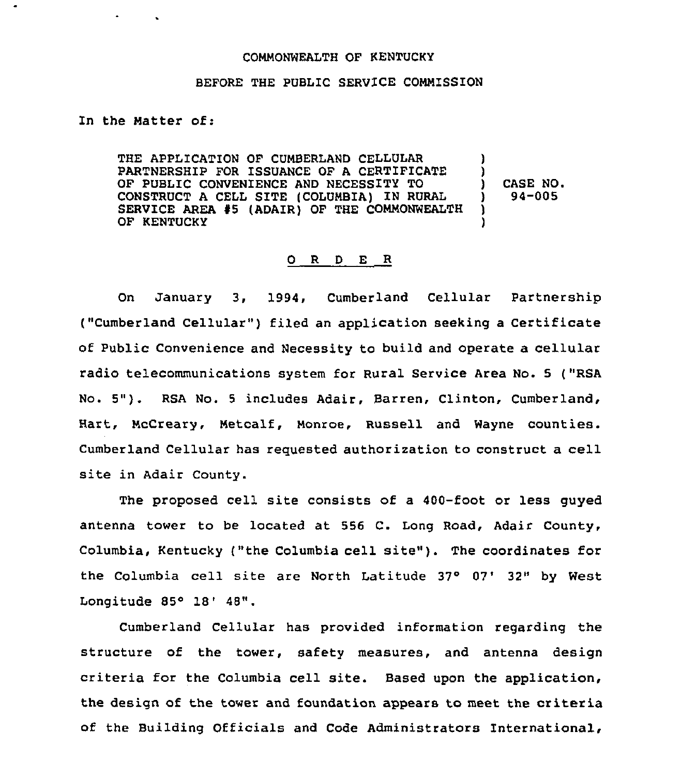## COMMONWEALTH OF KENTUCKY

## BEFORE THE PUBLIC SERVICE COMMISSION

In the Matter of:

**Contract Contract** 

THE APPLICATION OF CUMBERLAND CELLULAR PARTNERSHIP FOR ISSUANCE OF A CERTIFICATE OF PUBLIC CONVENIENCE AND NECESSITY TO CONSTRUCT A CELL SITE (COLUMBIA) IN RURAL SERVICE AREA 45 (ADAIR) OF THE COMMONWEALTH OF KENTUCKY ) ) ) CASE NO.<br>
1 94-005 ) 94-005 ) )

## 0 R <sup>D</sup> E R

On January 3, 1994, Cumberland Cellular Partnership ("Cumberland Cellular" ) filed an application seeking <sup>a</sup> Certificate of Public Convenience and Necessity to build and operate a cellular radio telecommunications system for Rural Service Area No. 5 ("RSA No. 5"). RSA No. <sup>5</sup> includes Adair, Barren, Clinton, Cumberland, Hart, McCreary, Metcalf, Monroe, Russell and Wayne counties. Cumberland Cellular has requested authorization to construct a cell site in Adair County.

The proposed cell site consists of a 400-foot or less guyed antenna tower to be located at 556 C. Long Road, Adair County, Columbia, Kentucky ("the Columbia cell site"). The coordinates for the Columbia cell site are North Latitude 37° 07' 32" by West Longitude  $85^\circ$  18'  $48"$ .

Cumberland Cellular has provided information regarding the structure of the tower, safety measures, and antenna design criteria for the Columbia cell site. Based upon the application, the design of the tower and foundation appears to meet the criteria of the Building Officials and Code Administrators International,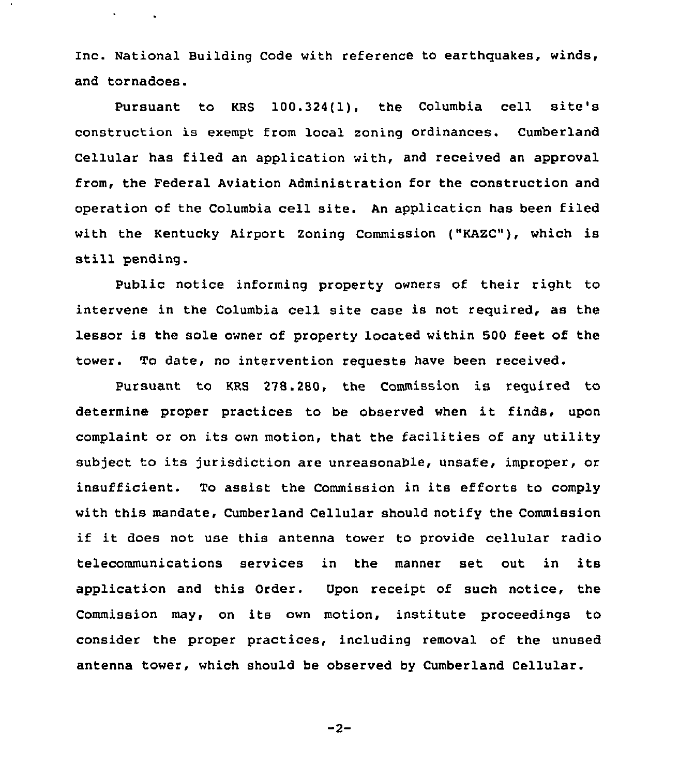Inc. National Building Code with reference to earthquakes, winds, and tornadoes.

 $\epsilon$  and  $\epsilon$  .

Pursuant to KRS 100.324(1), the Columbia cell site's construction is exempt from local zoning ordinances. Cumberland Cellular has filed an application with, and received an approval from, the Federal Aviation Administration for the construction and operation of the Columbia cell site. An applicaticn has been filed with the Kentucky Airport Zoning Commission ("KAZC"), which is still pending.

Public notice informing property owners of their right to intervene in the Columbia cell site case is not required, as the lessor is the sole owner of property located within 500 Eeet of the tower. To date, no intervention requests have been received.

Pursuant to KRS 278.280, the Commission is required to determine proper practices to be observed when it finds, upon complaint or on its own motion, that the facilities of any utility subject to its jurisdiction are unreasonable, unsafe, improper, or insufficient. To assist the Commission in its efforts to comply with this mandate, Cumberland Cellular should notify the Commission if it does not use this antenna tower to provide cellular radio telecommunications services in the manner set out in its application and this Order. Upon receipt of such notice, the Commission may, on its own motion, institute proceedings to consider the proper practices, including removal of the unused antenna tower, which should be observed by Cumberland Cellular.

 $-2-$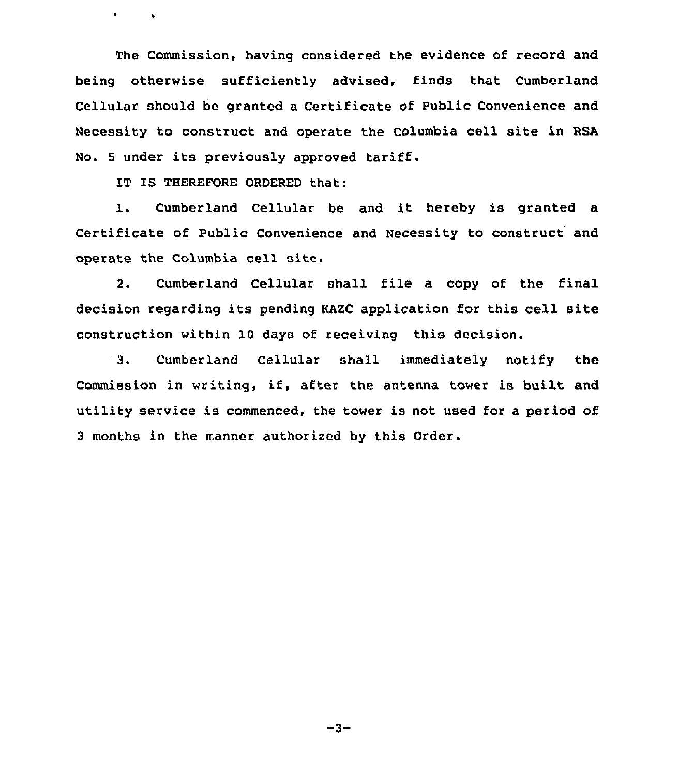The Commission, having considered the evidence of record and being otherwise sufficiently advised, finds that Cumberland Cellular should be granted a Certificate of Public Convenience and Necessity to construct and operate the Columbia cell site in RSA No. <sup>5</sup> under its previously approved tariff.

IT IS THEREFORE ORDERED that:

 $\sim 10^{-10}$  km  $^{-2}$ 

1. Cumberland Cellular be and it hereby is granted a Certificate of Public Convenience and Necessity to construct and operate the Columbia cell site.

2. Cumberland Cellular shall file a copy of the final decision regarding its pending KAZC application for this cell site construction within 10 days of receiving this decision.

3. Cumberland Cellular shall immediately notify the Commission in writing, if, after the antenna tower is built and utility service is commenced, the tower is not used for a period of <sup>3</sup> months in the manner authorized by this Order.

-3-